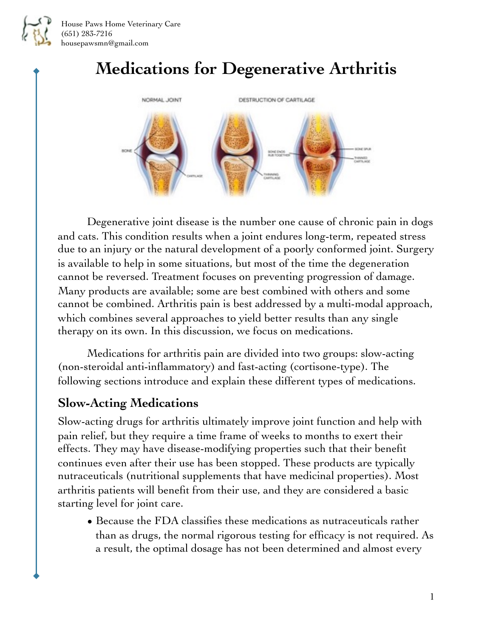

House Paws Home Veterinary Care (651) 283-7216 housepawsmn@gmail.com

# **Medications for Degenerative Arthritis**



Degenerative joint disease is the number one cause of chronic pain in dogs and cats. This condition results when a joint endures long-term, repeated stress due to an injury or the natural development of a poorly conformed joint. Surgery is available to help in some situations, but most of the time the degeneration cannot be reversed. Treatment focuses on preventing progression of damage. Many products are available; some are best combined with others and some cannot be combined. Arthritis pain is best addressed by a multi-modal approach, which combines several approaches to yield better results than any single therapy on its own. In this discussion, we focus on medications.

Medications for arthritis pain are divided into two groups: slow-acting (non-steroidal anti-inflammatory) and fast-acting (cortisone-type). The following sections introduce and explain these different types of medications.

### **Slow-Acting Medications**

Slow-acting drugs for arthritis ultimately improve joint function and help with pain relief, but they require a time frame of weeks to months to exert their effects. They may have disease-modifying properties such that their benefit continues even after their use has been stopped. These products are typically nutraceuticals (nutritional supplements that have medicinal properties). Most arthritis patients will benefit from their use, and they are considered a basic starting level for joint care.

• Because the FDA classifies these medications as nutraceuticals rather than as drugs, the normal rigorous testing for efficacy is not required. As a result, the optimal dosage has not been determined and almost every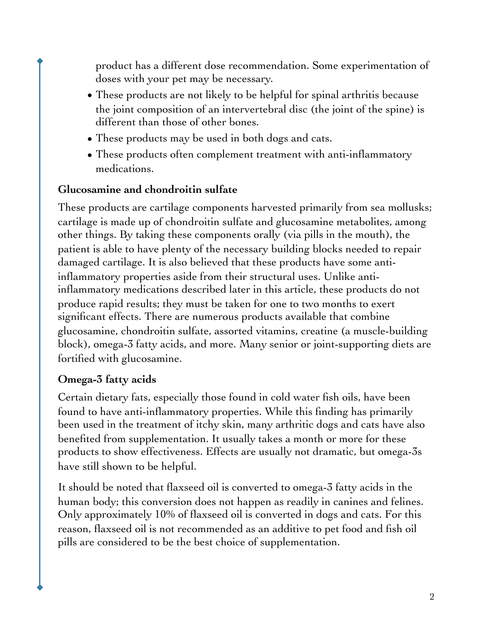product has a different dose recommendation. Some experimentation of doses with your pet may be necessary.

- These products are not likely to be helpful for spinal arthritis because the joint composition of an intervertebral disc (the joint of the spine) is different than those of other bones.
- These products may be used in both dogs and cats.
- These products often complement treatment with anti-inflammatory medications.

#### **Glucosamine and chondroitin sulfate**

These products are cartilage components harvested primarily from sea mollusks; cartilage is made up of chondroitin sulfate and glucosamine metabolites, among other things. By taking these components orally (via pills in the mouth), the patient is able to have plenty of the necessary building blocks needed to repair damaged cartilage. It is also believed that these products have some antiinflammatory properties aside from their structural uses. Unlike antiinflammatory medications described later in this article, these products do not produce rapid results; they must be taken for one to two months to exert significant effects. There are numerous products available that combine glucosamine, chondroitin sulfate, assorted vitamins, creatine (a muscle-building block), omega-3 fatty acids, and more. Many senior or joint-supporting diets are fortified with glucosamine.

#### **Omega-3 fatty acids**

Certain dietary fats, especially those found in cold water fish oils, have been found to have anti-inflammatory properties. While this finding has primarily been used in the treatment of itchy skin, many arthritic dogs and cats have also benefited from supplementation. It usually takes a month or more for these products to show effectiveness. Effects are usually not dramatic, but omega-3s have still shown to be helpful.

It should be noted that flaxseed oil is converted to omega-3 fatty acids in the human body; this conversion does not happen as readily in canines and felines. Only approximately 10% of flaxseed oil is converted in dogs and cats. For this reason, flaxseed oil is not recommended as an additive to pet food and fish oil pills are considered to be the best choice of supplementation.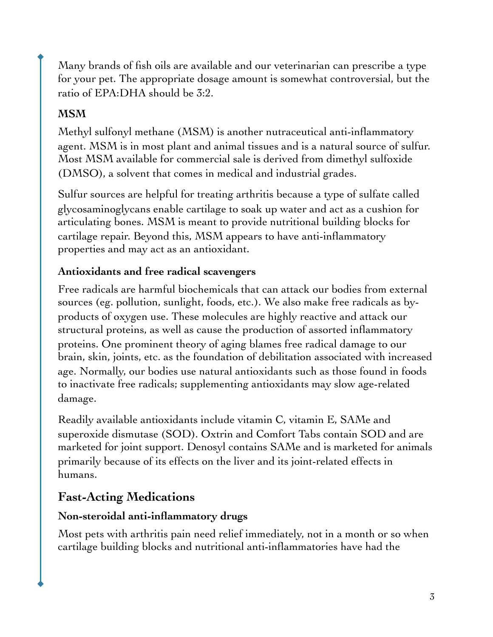Many brands of fish oils are available and our veterinarian can prescribe a type for your pet. The appropriate dosage amount is somewhat controversial, but the ratio of EPA:DHA should be 3:2.

#### **MSM**

Methyl sulfonyl methane (MSM) is another nutraceutical anti-inflammatory agent. MSM is in most plant and animal tissues and is a natural source of sulfur. Most MSM available for commercial sale is derived from dimethyl sulfoxide (DMSO), a solvent that comes in medical and industrial grades.

Sulfur sources are helpful for treating arthritis because a type of sulfate called glycosaminoglycans enable cartilage to soak up water and act as a cushion for articulating bones. MSM is meant to provide nutritional building blocks for cartilage repair. Beyond this, MSM appears to have anti-inflammatory properties and may act as an antioxidant.

#### **Antioxidants and free radical scavengers**

Free radicals are harmful biochemicals that can attack our bodies from external sources (eg. pollution, sunlight, foods, etc.). We also make free radicals as byproducts of oxygen use. These molecules are highly reactive and attack our structural proteins, as well as cause the production of assorted inflammatory proteins. One prominent theory of aging blames free radical damage to our brain, skin, joints, etc. as the foundation of debilitation associated with increased age. Normally, our bodies use natural antioxidants such as those found in foods to inactivate free radicals; supplementing antioxidants may slow age-related damage.

Readily available antioxidants include vitamin C, vitamin E, SAMe and superoxide dismutase (SOD). Oxtrin and Comfort Tabs contain SOD and are marketed for joint support. Denosyl contains SAMe and is marketed for animals primarily because of its effects on the liver and its joint-related effects in humans.

## **Fast-Acting Medications**

#### **Non-steroidal anti-inflammatory drugs**

Most pets with arthritis pain need relief immediately, not in a month or so when cartilage building blocks and nutritional anti-inflammatories have had the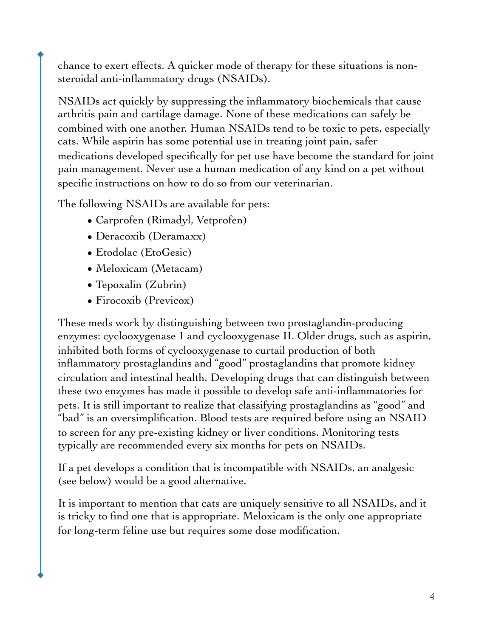chance to exert effects. A quicker mode of therapy for these situations is nonsteroidal anti-inflammatory drugs (NSAIDs).

NSAIDs act quickly by suppressing the inflammatory biochemicals that cause arthritis pain and cartilage damage. None of these medications can safely be combined with one another. Human NSAIDs tend to be toxic to pets, especially cats. While aspirin has some potential use in treating joint pain, safer medications developed specifically for pet use have become the standard for joint pain management. Never use a human medication of any kind on a pet without specific instructions on how to do so from our veterinarian.

The following NSAIDs are available for pets:

- Carprofen (Rimadyl, Vetprofen)
- Deracoxib (Deramaxx)
- Etodolac (EtoGesic)
- Meloxicam (Metacam)
- Tepoxalin (Zubrin)
- Firocoxib (Previcox)

These meds work by distinguishing between two prostaglandin-producing enzymes: cyclooxygenase 1 and cyclooxygenase II. Older drugs, such as aspirin, inhibited both forms of cyclooxygenase to curtail production of both inflammatory prostaglandins and "good" prostaglandins that promote kidney circulation and intestinal health. Developing drugs that can distinguish between these two enzymes has made it possible to develop safe anti-inflammatories for pets. It is still important to realize that classifying prostaglandins as "good" and "bad" is an oversimplification. Blood tests are required before using an NSAID to screen for any pre-existing kidney or liver conditions. Monitoring tests typically are recommended every six months for pets on NSAIDs.

If a pet develops a condition that is incompatible with NSAIDs, an analgesic (see below) would be a good alternative.

It is important to mention that cats are uniquely sensitive to all NSAIDs, and it is tricky to find one that is appropriate. Meloxicam is the only one appropriate for long-term feline use but requires some dose modification.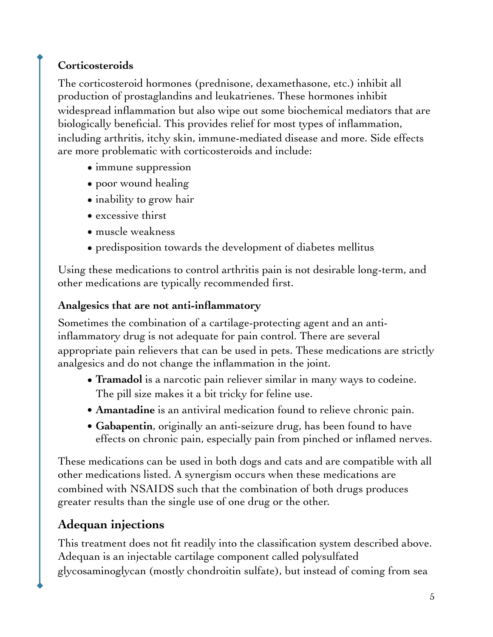## **Corticosteroids**

The corticosteroid hormones (prednisone, dexamethasone, etc.) inhibit all production of prostaglandins and leukatrienes. These hormones inhibit widespread inflammation but also wipe out some biochemical mediators that are biologically beneficial. This provides relief for most types of inflammation, including arthritis, itchy skin, immune-mediated disease and more. Side effects are more problematic with corticosteroids and include:

- immune suppression
- poor wound healing
- inability to grow hair
- excessive thirst
- muscle weakness
- predisposition towards the development of diabetes mellitus

Using these medications to control arthritis pain is not desirable long-term, and other medications are typically recommended first.

#### **Analgesics that are not anti-inflammatory**

Sometimes the combination of a cartilage-protecting agent and an antiinflammatory drug is not adequate for pain control. There are several appropriate pain relievers that can be used in pets. These medications are strictly analgesics and do not change the inflammation in the joint.

- **Tramadol** is a narcotic pain reliever similar in many ways to codeine. The pill size makes it a bit tricky for feline use.
- **• Amantadine** is an antiviral medication found to relieve chronic pain.
- **• Gabapentin**, originally an anti-seizure drug, has been found to have effects on chronic pain, especially pain from pinched or inflamed nerves.

These medications can be used in both dogs and cats and are compatible with all other medications listed. A synergism occurs when these medications are combined with NSAIDS such that the combination of both drugs produces greater results than the single use of one drug or the other.

## **Adequan injections**

This treatment does not fit readily into the classification system described above. Adequan is an injectable cartilage component called polysulfated glycosaminoglycan (mostly chondroitin sulfate), but instead of coming from sea